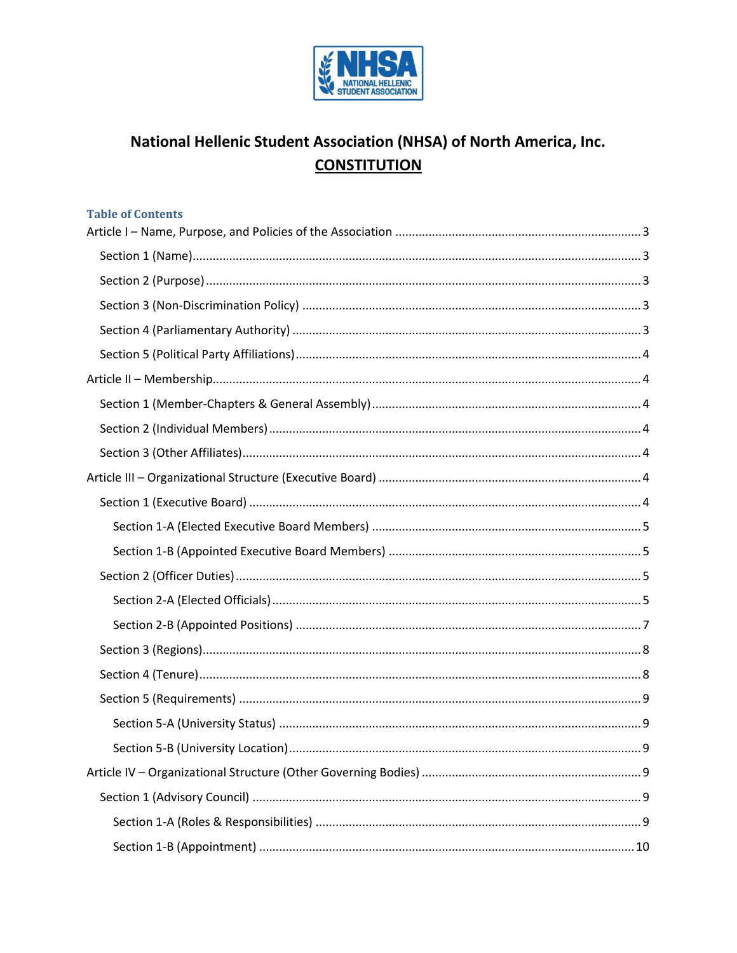

# National Hellenic Student Association (NHSA) of North America, Inc. **CONSTITUTION**

| <b>Table of Contents</b> |
|--------------------------|
|                          |
|                          |
|                          |
|                          |
|                          |
|                          |
|                          |
|                          |
|                          |
|                          |
|                          |
|                          |
|                          |
|                          |
|                          |
|                          |
|                          |
|                          |
|                          |
|                          |
|                          |
| 9                        |
|                          |
|                          |
|                          |
|                          |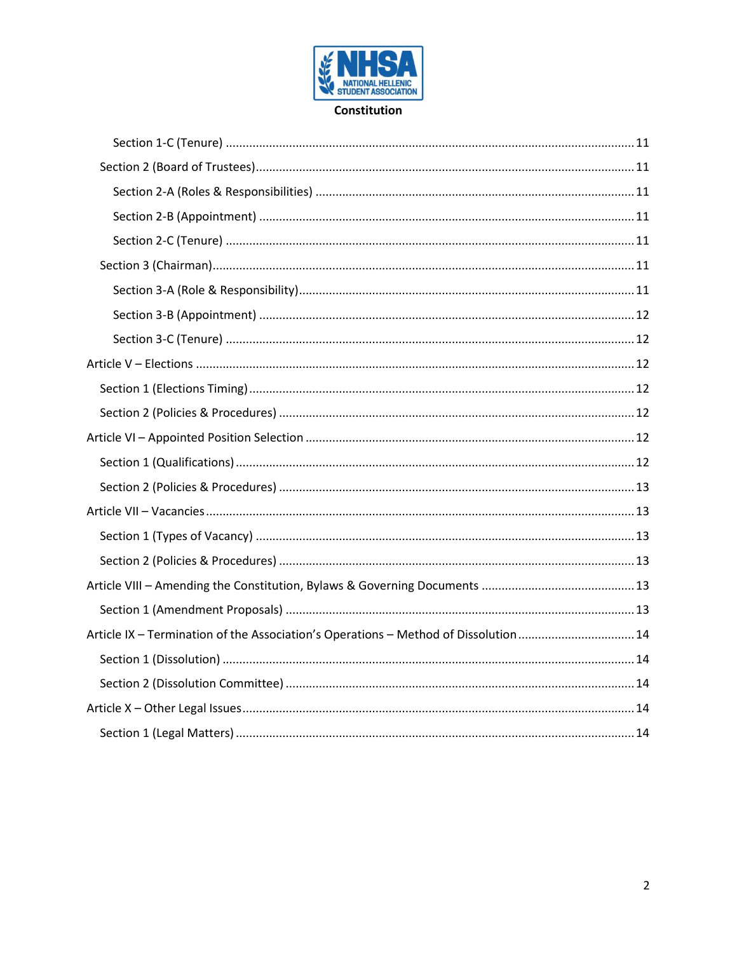

#### Constitution

| Article IX - Termination of the Association's Operations - Method of Dissolution  14 |  |
|--------------------------------------------------------------------------------------|--|
|                                                                                      |  |
|                                                                                      |  |
|                                                                                      |  |
|                                                                                      |  |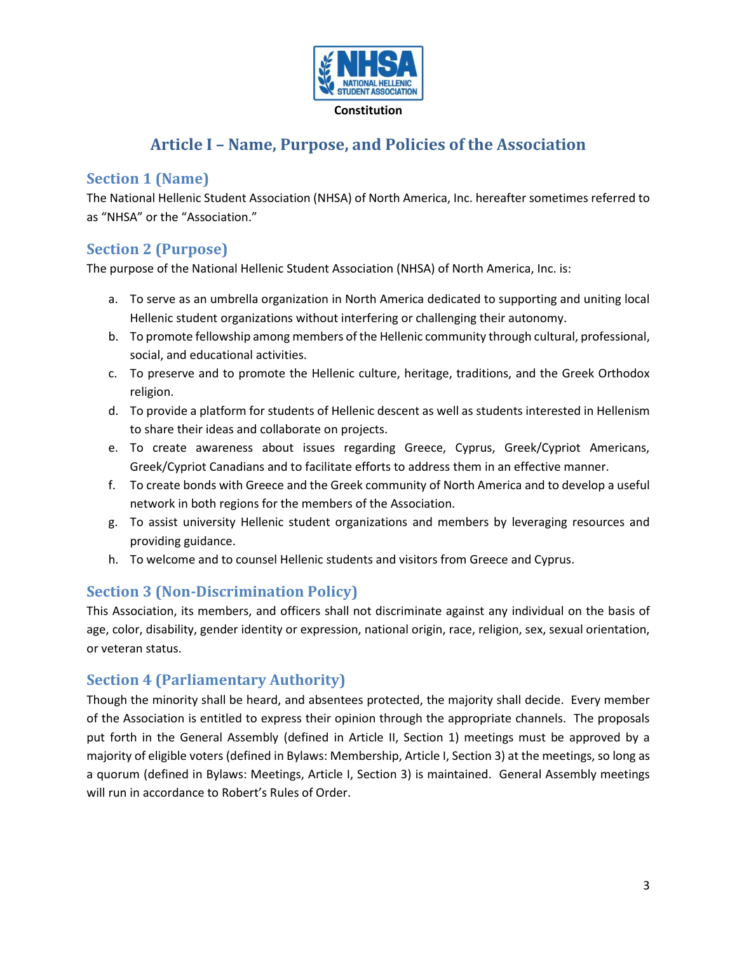

# **Article I – Name, Purpose, and Policies of the Association**

## <span id="page-2-1"></span><span id="page-2-0"></span>**Section 1 (Name)**

The National Hellenic Student Association (NHSA) of North America, Inc. hereafter sometimes referred to as "NHSA" or the "Association."

## <span id="page-2-2"></span>**Section 2 (Purpose)**

The purpose of the National Hellenic Student Association (NHSA) of North America, Inc. is:

- a. To serve as an umbrella organization in North America dedicated to supporting and uniting local Hellenic student organizations without interfering or challenging their autonomy.
- b. To promote fellowship among members of the Hellenic community through cultural, professional, social, and educational activities.
- c. To preserve and to promote the Hellenic culture, heritage, traditions, and the Greek Orthodox religion.
- d. To provide a platform for students of Hellenic descent as well as students interested in Hellenism to share their ideas and collaborate on projects.
- e. To create awareness about issues regarding Greece, Cyprus, Greek/Cypriot Americans, Greek/Cypriot Canadians and to facilitate efforts to address them in an effective manner.
- f. To create bonds with Greece and the Greek community of North America and to develop a useful network in both regions for the members of the Association.
- g. To assist university Hellenic student organizations and members by leveraging resources and providing guidance.
- h. To welcome and to counsel Hellenic students and visitors from Greece and Cyprus.

## <span id="page-2-3"></span>**Section 3 (Non-Discrimination Policy)**

This Association, its members, and officers shall not discriminate against any individual on the basis of age, color, disability, gender identity or expression, national origin, race, religion, sex, sexual orientation, or veteran status.

## <span id="page-2-4"></span>**Section 4 (Parliamentary Authority)**

Though the minority shall be heard, and absentees protected, the majority shall decide. Every member of the Association is entitled to express their opinion through the appropriate channels. The proposals put forth in the General Assembly (defined in Article II, Section 1) meetings must be approved by a majority of eligible voters (defined in Bylaws: Membership, Article Ι, Section 3) at the meetings, so long as a quorum (defined in Bylaws: Meetings, Article I, Section 3) is maintained. General Assembly meetings will run in accordance to Robert's Rules of Order.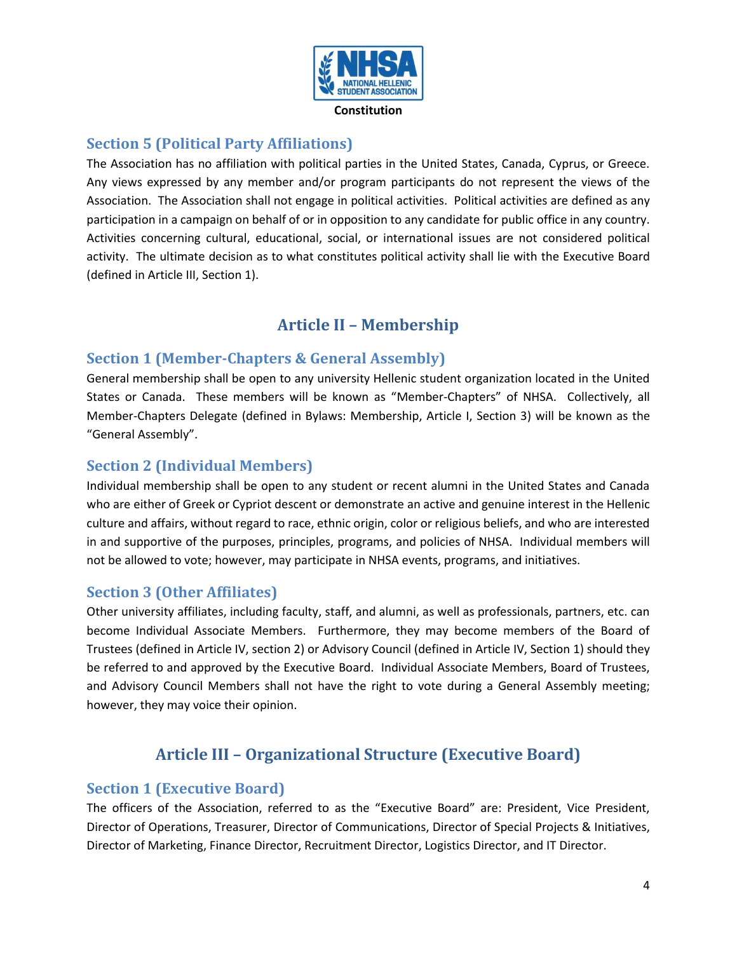

## <span id="page-3-0"></span>**Section 5 (Political Party Affiliations)**

The Association has no affiliation with political parties in the United States, Canada, Cyprus, or Greece. Any views expressed by any member and/or program participants do not represent the views of the Association. The Association shall not engage in political activities. Political activities are defined as any participation in a campaign on behalf of or in opposition to any candidate for public office in any country. Activities concerning cultural, educational, social, or international issues are not considered political activity. The ultimate decision as to what constitutes political activity shall lie with the Executive Board (defined in Article III, Section 1).

# **Article II – Membership**

### <span id="page-3-2"></span><span id="page-3-1"></span>**Section 1 (Member-Chapters & General Assembly)**

General membership shall be open to any university Hellenic student organization located in the United States or Canada. These members will be known as "Member-Chapters" of NHSA. Collectively, all Member-Chapters Delegate (defined in Bylaws: Membership, Article I, Section 3) will be known as the "General Assembly".

## <span id="page-3-3"></span>**Section 2 (Individual Members)**

Individual membership shall be open to any student or recent alumni in the United States and Canada who are either of Greek or Cypriot descent or demonstrate an active and genuine interest in the Hellenic culture and affairs, without regard to race, ethnic origin, color or religious beliefs, and who are interested in and supportive of the purposes, principles, programs, and policies of NHSA. Individual members will not be allowed to vote; however, may participate in NHSA events, programs, and initiatives.

### <span id="page-3-4"></span>**Section 3 (Other Affiliates)**

Other university affiliates, including faculty, staff, and alumni, as well as professionals, partners, etc. can become Individual Associate Members. Furthermore, they may become members of the Board of Trustees (defined in Article IV, section 2) or Advisory Council (defined in Article IV, Section 1) should they be referred to and approved by the Executive Board. Individual Associate Members, Board of Trustees, and Advisory Council Members shall not have the right to vote during a General Assembly meeting; however, they may voice their opinion.

# **Article III – Organizational Structure (Executive Board)**

### <span id="page-3-6"></span><span id="page-3-5"></span>**Section 1 (Executive Board)**

The officers of the Association, referred to as the "Executive Board" are: President, Vice President, Director of Operations, Treasurer, Director of Communications, Director of Special Projects & Initiatives, Director of Marketing, Finance Director, Recruitment Director, Logistics Director, and IT Director.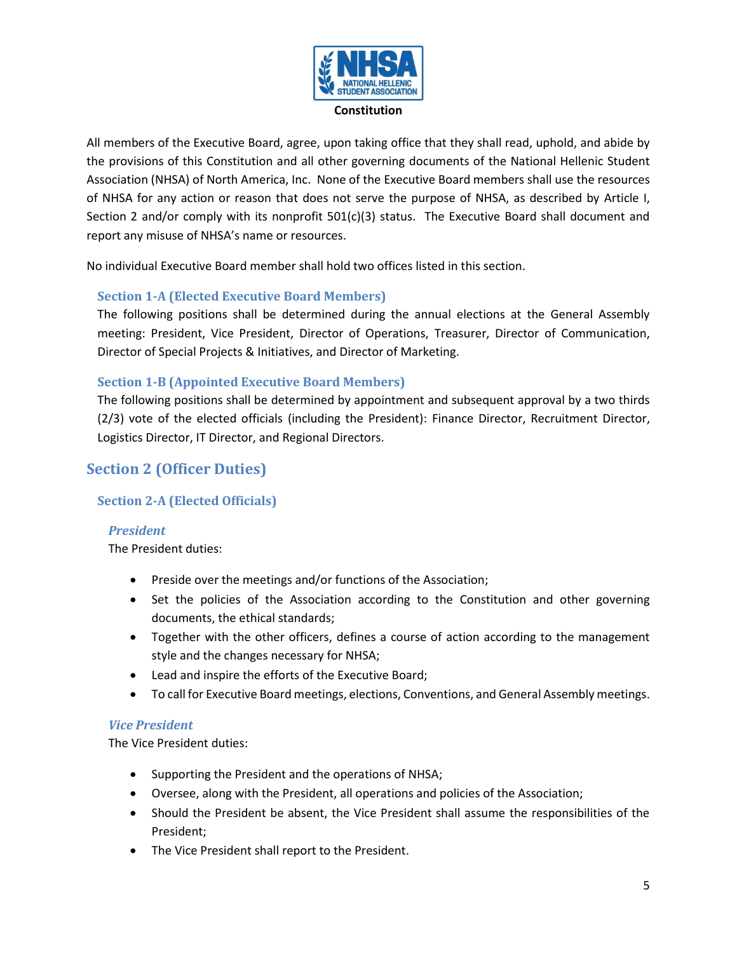

All members of the Executive Board, agree, upon taking office that they shall read, uphold, and abide by the provisions of this Constitution and all other governing documents of the National Hellenic Student Association (NHSA) of North America, Inc. None of the Executive Board members shall use the resources of NHSA for any action or reason that does not serve the purpose of NHSA, as described by Article I, Section 2 and/or comply with its nonprofit 501(c)(3) status. The Executive Board shall document and report any misuse of NHSA's name or resources.

No individual Executive Board member shall hold two offices listed in this section.

### <span id="page-4-0"></span>**Section 1-A (Elected Executive Board Members)**

The following positions shall be determined during the annual elections at the General Assembly meeting: President, Vice President, Director of Operations, Treasurer, Director of Communication, Director of Special Projects & Initiatives, and Director of Marketing.

### <span id="page-4-1"></span>**Section 1-B (Appointed Executive Board Members)**

The following positions shall be determined by appointment and subsequent approval by a two thirds (2/3) vote of the elected officials (including the President): Finance Director, Recruitment Director, Logistics Director, IT Director, and Regional Directors.

## <span id="page-4-2"></span>**Section 2 (Officer Duties)**

### <span id="page-4-3"></span>**Section 2-A (Elected Officials)**

### *President*

The President duties:

- Preside over the meetings and/or functions of the Association;
- Set the policies of the Association according to the Constitution and other governing documents, the ethical standards;
- Together with the other officers, defines a course of action according to the management style and the changes necessary for NHSA;
- Lead and inspire the efforts of the Executive Board;
- To call for Executive Board meetings, elections, Conventions, and General Assembly meetings.

### *Vice President*

The Vice President duties:

- Supporting the President and the operations of NHSA;
- Oversee, along with the President, all operations and policies of the Association;
- Should the President be absent, the Vice President shall assume the responsibilities of the President;
- The Vice President shall report to the President.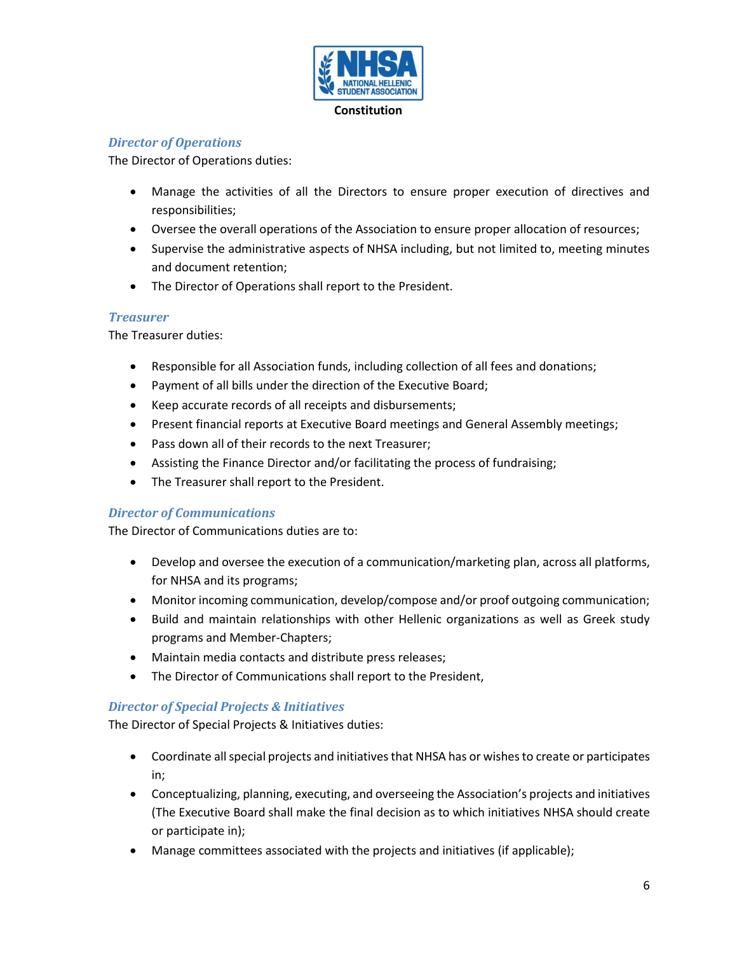

### *Director of Operations*

The Director of Operations duties:

- Manage the activities of all the Directors to ensure proper execution of directives and responsibilities;
- Oversee the overall operations of the Association to ensure proper allocation of resources;
- Supervise the administrative aspects of NHSA including, but not limited to, meeting minutes and document retention;
- The Director of Operations shall report to the President.

#### *Treasurer*

The Treasurer duties:

- Responsible for all Association funds, including collection of all fees and donations;
- Payment of all bills under the direction of the Executive Board;
- Keep accurate records of all receipts and disbursements;
- Present financial reports at Executive Board meetings and General Assembly meetings;
- Pass down all of their records to the next Treasurer;
- Assisting the Finance Director and/or facilitating the process of fundraising;
- The Treasurer shall report to the President.

### *Director of Communications*

The Director of Communications duties are to:

- Develop and oversee the execution of a communication/marketing plan, across all platforms, for NHSA and its programs;
- Monitor incoming communication, develop/compose and/or proof outgoing communication;
- Build and maintain relationships with other Hellenic organizations as well as Greek study programs and Member-Chapters;
- Maintain media contacts and distribute press releases;
- The Director of Communications shall report to the President,

#### *Director of Special Projects & Initiatives*

The Director of Special Projects & Initiatives duties:

- Coordinate all special projects and initiatives that NHSA has or wishes to create or participates in;
- Conceptualizing, planning, executing, and overseeing the Association's projects and initiatives (The Executive Board shall make the final decision as to which initiatives NHSA should create or participate in);
- Manage committees associated with the projects and initiatives (if applicable);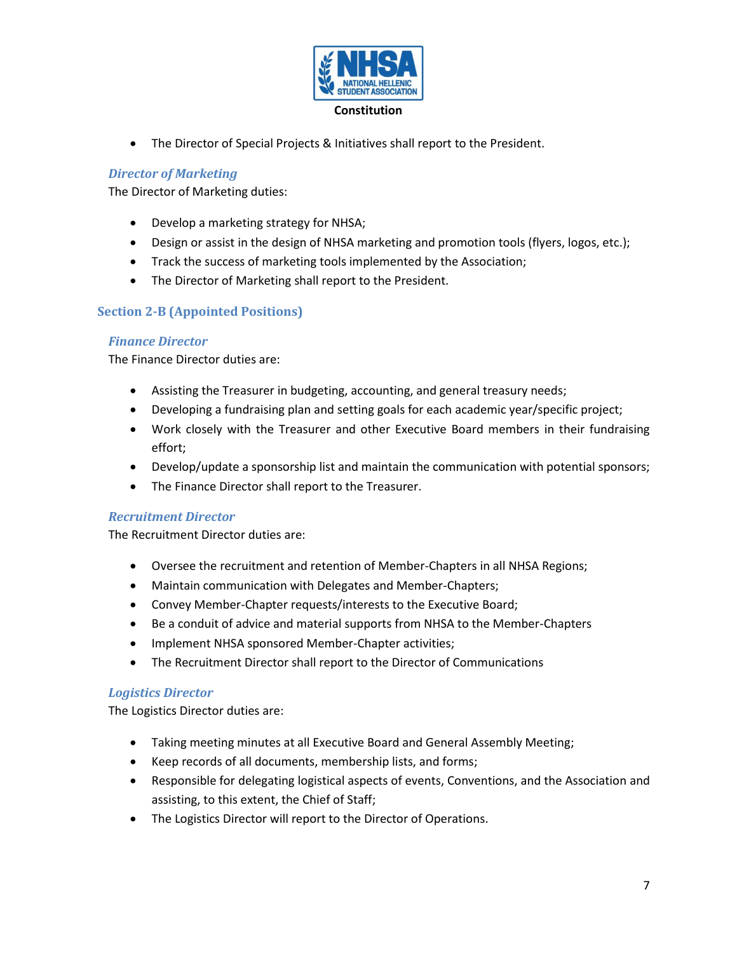

• The Director of Special Projects & Initiatives shall report to the President.

### *Director of Marketing*

The Director of Marketing duties:

- Develop a marketing strategy for NHSA;
- Design or assist in the design of NHSA marketing and promotion tools (flyers, logos, etc.);
- Track the success of marketing tools implemented by the Association;
- The Director of Marketing shall report to the President.

### <span id="page-6-0"></span>**Section 2-B (Appointed Positions)**

#### *Finance Director*

The Finance Director duties are:

- Assisting the Treasurer in budgeting, accounting, and general treasury needs;
- Developing a fundraising plan and setting goals for each academic year/specific project;
- Work closely with the Treasurer and other Executive Board members in their fundraising effort;
- Develop/update a sponsorship list and maintain the communication with potential sponsors;
- The Finance Director shall report to the Treasurer.

#### *Recruitment Director*

The Recruitment Director duties are:

- Oversee the recruitment and retention of Member-Chapters in all NHSA Regions;
- Maintain communication with Delegates and Member-Chapters;
- Convey Member-Chapter requests/interests to the Executive Board;
- Be a conduit of advice and material supports from NHSA to the Member-Chapters
- Implement NHSA sponsored Member-Chapter activities;
- The Recruitment Director shall report to the Director of Communications

#### *Logistics Director*

The Logistics Director duties are:

- Taking meeting minutes at all Executive Board and General Assembly Meeting;
- Keep records of all documents, membership lists, and forms;
- Responsible for delegating logistical aspects of events, Conventions, and the Association and assisting, to this extent, the Chief of Staff;
- The Logistics Director will report to the Director of Operations.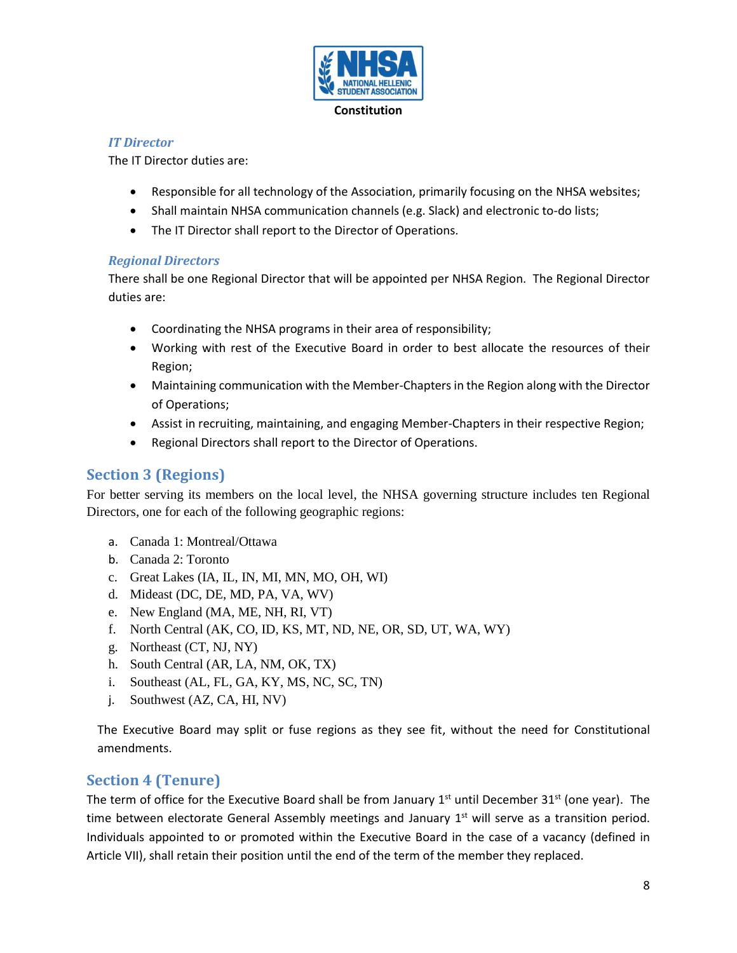

### *IT Director*

The IT Director duties are:

- Responsible for all technology of the Association, primarily focusing on the NHSA websites;
- Shall maintain NHSA communication channels (e.g. Slack) and electronic to-do lists;
- The IT Director shall report to the Director of Operations.

### *Regional Directors*

There shall be one Regional Director that will be appointed per NHSA Region. The Regional Director duties are:

- Coordinating the NHSA programs in their area of responsibility;
- Working with rest of the Executive Board in order to best allocate the resources of their Region;
- Maintaining communication with the Member-Chapters in the Region along with the Director of Operations;
- Assist in recruiting, maintaining, and engaging Member-Chapters in their respective Region;
- Regional Directors shall report to the Director of Operations.

## <span id="page-7-0"></span>**Section 3 (Regions)**

For better serving its members on the local level, the NHSA governing structure includes ten Regional Directors, one for each of the following geographic regions:

- a. Canada 1: Montreal/Ottawa
- b. Canada 2: Toronto
- c. Great Lakes (IA, IL, IN, MI, MN, MO, OH, WI)
- d. Mideast (DC, DE, MD, PA, VA, WV)
- e. New England (MA, ME, NH, RI, VT)
- f. North Central (AK, CO, ID, KS, MT, ND, NE, OR, SD, UT, WA, WY)
- g. Northeast (CT, NJ, NY)
- h. South Central (AR, LA, NM, OK, TX)
- i. Southeast (AL, FL, GA, KY, MS, NC, SC, TN)
- j. Southwest (AZ, CA, HI, NV)

The Executive Board may split or fuse regions as they see fit, without the need for Constitutional amendments.

## <span id="page-7-1"></span>**Section 4 (Tenure)**

The term of office for the Executive Board shall be from January  $1<sup>st</sup>$  until December 31<sup>st</sup> (one year). The time between electorate General Assembly meetings and January  $1<sup>st</sup>$  will serve as a transition period. Individuals appointed to or promoted within the Executive Board in the case of a vacancy (defined in Article VII), shall retain their position until the end of the term of the member they replaced.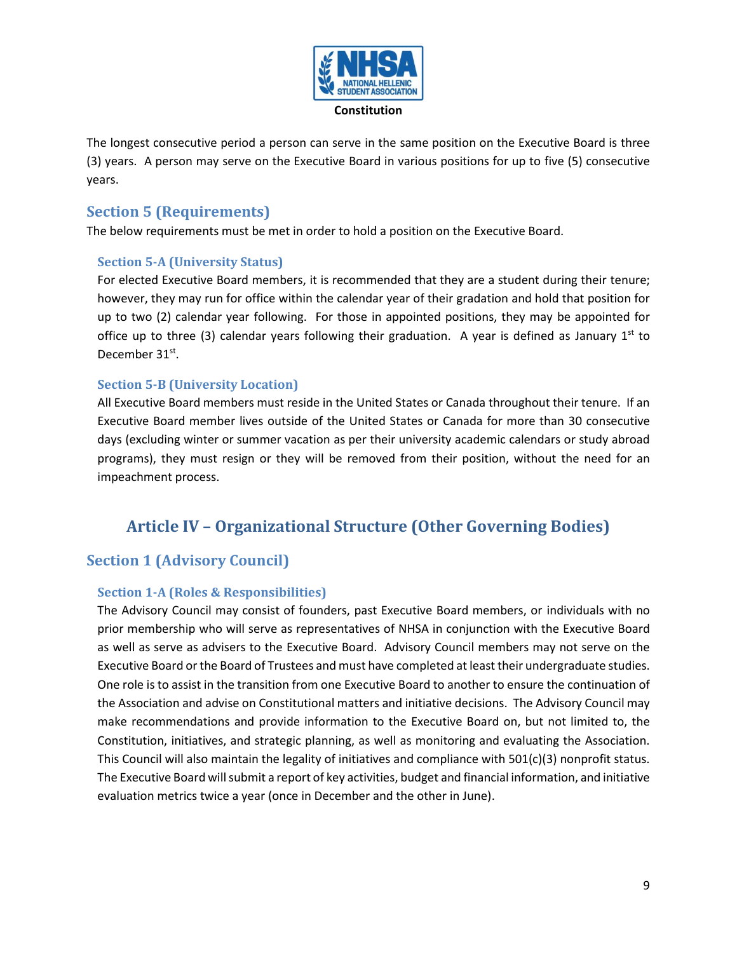

The longest consecutive period a person can serve in the same position on the Executive Board is three (3) years. A person may serve on the Executive Board in various positions for up to five (5) consecutive years.

## <span id="page-8-0"></span>**Section 5 (Requirements)**

The below requirements must be met in order to hold a position on the Executive Board.

### <span id="page-8-1"></span>**Section 5-A (University Status)**

For elected Executive Board members, it is recommended that they are a student during their tenure; however, they may run for office within the calendar year of their gradation and hold that position for up to two (2) calendar year following. For those in appointed positions, they may be appointed for office up to three (3) calendar years following their graduation. A year is defined as January 1<sup>st</sup> to December 31<sup>st</sup>.

### <span id="page-8-2"></span>**Section 5-B (University Location)**

All Executive Board members must reside in the United States or Canada throughout their tenure. If an Executive Board member lives outside of the United States or Canada for more than 30 consecutive days (excluding winter or summer vacation as per their university academic calendars or study abroad programs), they must resign or they will be removed from their position, without the need for an impeachment process.

# <span id="page-8-3"></span>**Article IV – Organizational Structure (Other Governing Bodies)**

## <span id="page-8-4"></span>**Section 1 (Advisory Council)**

### <span id="page-8-5"></span>**Section 1-A (Roles & Responsibilities)**

The Advisory Council may consist of founders, past Executive Board members, or individuals with no prior membership who will serve as representatives of NHSA in conjunction with the Executive Board as well as serve as advisers to the Executive Board. Advisory Council members may not serve on the Executive Board or the Board of Trustees and must have completed at least their undergraduate studies. One role is to assist in the transition from one Executive Board to another to ensure the continuation of the Association and advise on Constitutional matters and initiative decisions. The Advisory Council may make recommendations and provide information to the Executive Board on, but not limited to, the Constitution, initiatives, and strategic planning, as well as monitoring and evaluating the Association. This Council will also maintain the legality of initiatives and compliance with 501(c)(3) nonprofit status. The Executive Board will submit a report of key activities, budget and financial information, and initiative evaluation metrics twice a year (once in December and the other in June).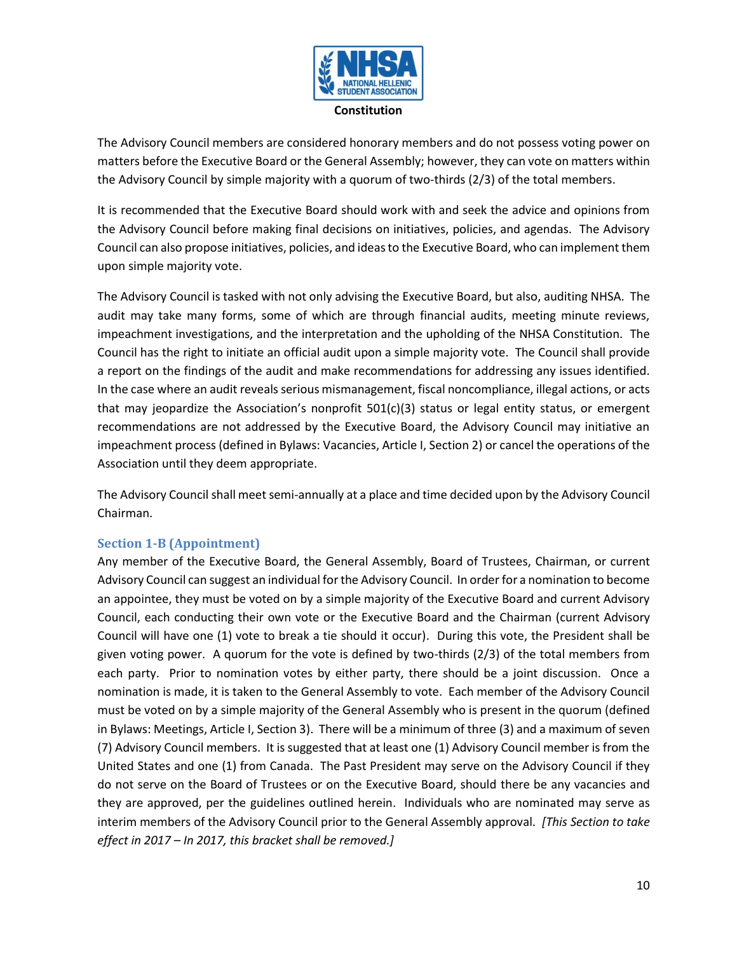

The Advisory Council members are considered honorary members and do not possess voting power on matters before the Executive Board or the General Assembly; however, they can vote on matters within the Advisory Council by simple majority with a quorum of two-thirds (2/3) of the total members.

It is recommended that the Executive Board should work with and seek the advice and opinions from the Advisory Council before making final decisions on initiatives, policies, and agendas. The Advisory Council can also propose initiatives, policies, and ideas to the Executive Board, who can implement them upon simple majority vote.

The Advisory Council is tasked with not only advising the Executive Board, but also, auditing NHSA. The audit may take many forms, some of which are through financial audits, meeting minute reviews, impeachment investigations, and the interpretation and the upholding of the NHSA Constitution. The Council has the right to initiate an official audit upon a simple majority vote. The Council shall provide a report on the findings of the audit and make recommendations for addressing any issues identified. In the case where an audit reveals serious mismanagement, fiscal noncompliance, illegal actions, or acts that may jeopardize the Association's nonprofit  $501(c)(3)$  status or legal entity status, or emergent recommendations are not addressed by the Executive Board, the Advisory Council may initiative an impeachment process (defined in Bylaws: Vacancies, Article I, Section 2) or cancel the operations of the Association until they deem appropriate.

The Advisory Council shall meet semi-annually at a place and time decided upon by the Advisory Council Chairman.

### <span id="page-9-0"></span>**Section 1-B (Appointment)**

Any member of the Executive Board, the General Assembly, Board of Trustees, Chairman, or current Advisory Council can suggest an individual for the Advisory Council. In order for a nomination to become an appointee, they must be voted on by a simple majority of the Executive Board and current Advisory Council, each conducting their own vote or the Executive Board and the Chairman (current Advisory Council will have one (1) vote to break a tie should it occur). During this vote, the President shall be given voting power. A quorum for the vote is defined by two-thirds (2/3) of the total members from each party. Prior to nomination votes by either party, there should be a joint discussion. Once a nomination is made, it is taken to the General Assembly to vote. Each member of the Advisory Council must be voted on by a simple majority of the General Assembly who is present in the quorum (defined in Bylaws: Meetings, Article I, Section 3). There will be a minimum of three (3) and a maximum of seven (7) Advisory Council members. It is suggested that at least one (1) Advisory Council member is from the United States and one (1) from Canada. The Past President may serve on the Advisory Council if they do not serve on the Board of Trustees or on the Executive Board, should there be any vacancies and they are approved, per the guidelines outlined herein. Individuals who are nominated may serve as interim members of the Advisory Council prior to the General Assembly approval. *[This Section to take effect in 2017 – In 2017, this bracket shall be removed.]*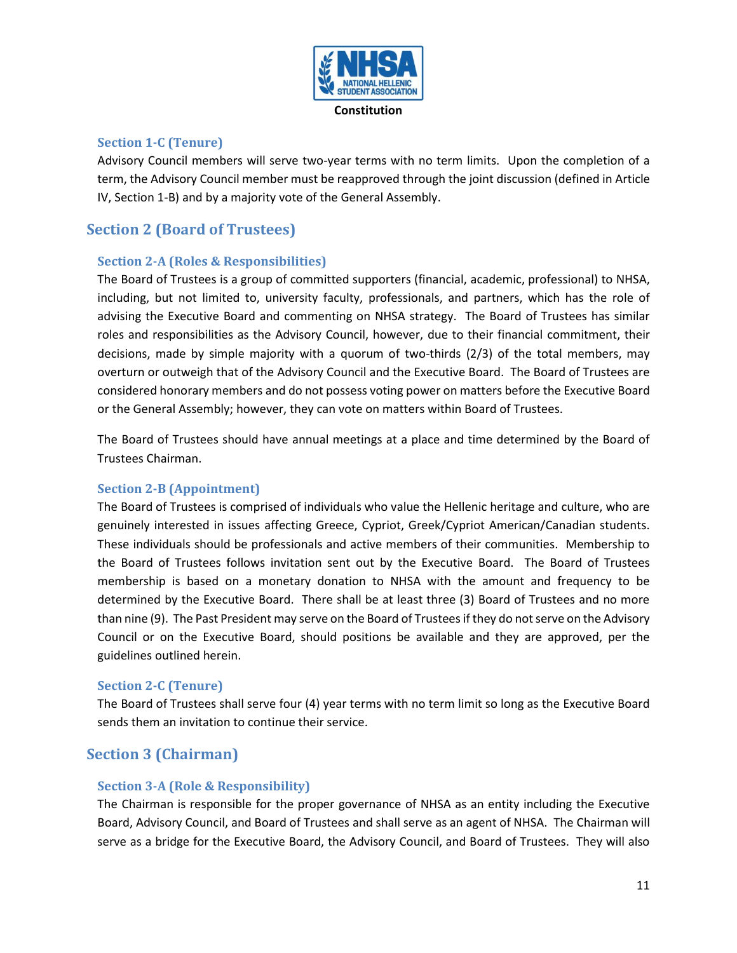

### <span id="page-10-0"></span>**Section 1-C (Tenure)**

Advisory Council members will serve two-year terms with no term limits. Upon the completion of a term, the Advisory Council member must be reapproved through the joint discussion (defined in Article IV, Section 1-B) and by a majority vote of the General Assembly.

## <span id="page-10-1"></span>**Section 2 (Board of Trustees)**

### <span id="page-10-2"></span>**Section 2-A (Roles & Responsibilities)**

The Board of Trustees is a group of committed supporters (financial, academic, professional) to NHSA, including, but not limited to, university faculty, professionals, and partners, which has the role of advising the Executive Board and commenting on NHSA strategy. The Board of Trustees has similar roles and responsibilities as the Advisory Council, however, due to their financial commitment, their decisions, made by simple majority with a quorum of two-thirds (2/3) of the total members, may overturn or outweigh that of the Advisory Council and the Executive Board. The Board of Trustees are considered honorary members and do not possess voting power on matters before the Executive Board or the General Assembly; however, they can vote on matters within Board of Trustees.

The Board of Trustees should have annual meetings at a place and time determined by the Board of Trustees Chairman.

### <span id="page-10-3"></span>**Section 2-B (Appointment)**

The Board of Trustees is comprised of individuals who value the Hellenic heritage and culture, who are genuinely interested in issues affecting Greece, Cypriot, Greek/Cypriot American/Canadian students. These individuals should be professionals and active members of their communities. Membership to the Board of Trustees follows invitation sent out by the Executive Board. The Board of Trustees membership is based on a monetary donation to NHSA with the amount and frequency to be determined by the Executive Board. There shall be at least three (3) Board of Trustees and no more than nine (9). The Past President may serve on the Board of Trustees if they do not serve on the Advisory Council or on the Executive Board, should positions be available and they are approved, per the guidelines outlined herein.

### <span id="page-10-4"></span>**Section 2-C (Tenure)**

The Board of Trustees shall serve four (4) year terms with no term limit so long as the Executive Board sends them an invitation to continue their service.

## <span id="page-10-5"></span>**Section 3 (Chairman)**

### <span id="page-10-6"></span>**Section 3-A (Role & Responsibility)**

The Chairman is responsible for the proper governance of NHSA as an entity including the Executive Board, Advisory Council, and Board of Trustees and shall serve as an agent of NHSA. The Chairman will serve as a bridge for the Executive Board, the Advisory Council, and Board of Trustees. They will also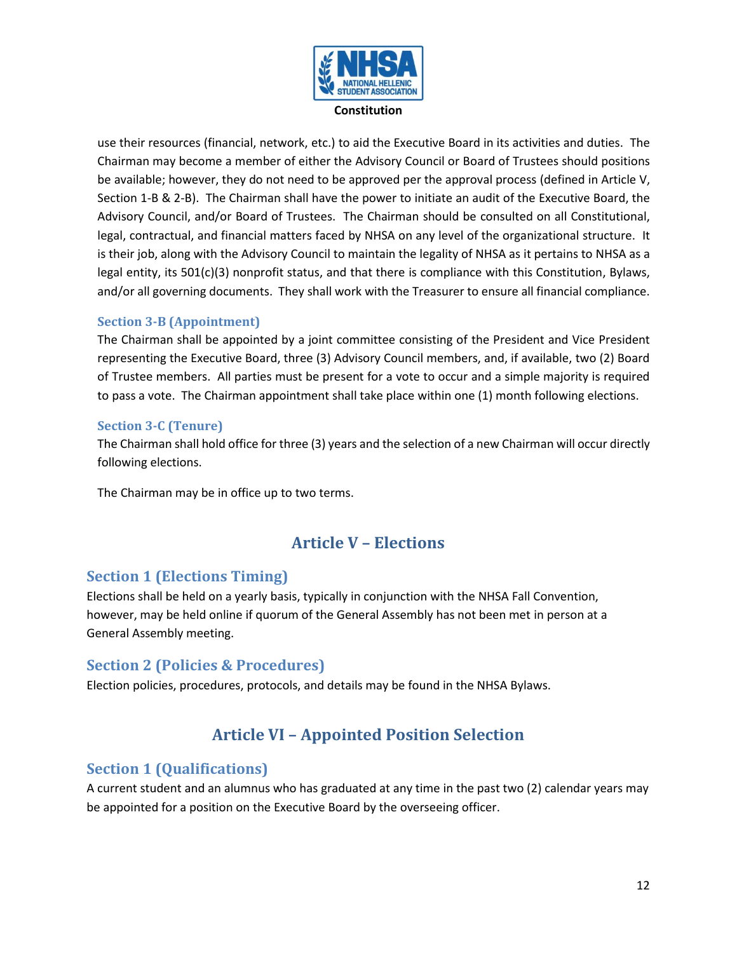

use their resources (financial, network, etc.) to aid the Executive Board in its activities and duties. The Chairman may become a member of either the Advisory Council or Board of Trustees should positions be available; however, they do not need to be approved per the approval process (defined in Article V, Section 1-B & 2-B). The Chairman shall have the power to initiate an audit of the Executive Board, the Advisory Council, and/or Board of Trustees. The Chairman should be consulted on all Constitutional, legal, contractual, and financial matters faced by NHSA on any level of the organizational structure. It is their job, along with the Advisory Council to maintain the legality of NHSA as it pertains to NHSA as a legal entity, its 501(c)(3) nonprofit status, and that there is compliance with this Constitution, Bylaws, and/or all governing documents. They shall work with the Treasurer to ensure all financial compliance.

### <span id="page-11-0"></span>**Section 3-B (Appointment)**

The Chairman shall be appointed by a joint committee consisting of the President and Vice President representing the Executive Board, three (3) Advisory Council members, and, if available, two (2) Board of Trustee members. All parties must be present for a vote to occur and a simple majority is required to pass a vote. The Chairman appointment shall take place within one (1) month following elections.

### <span id="page-11-1"></span>**Section 3-C (Tenure)**

The Chairman shall hold office for three (3) years and the selection of a new Chairman will occur directly following elections.

<span id="page-11-2"></span>The Chairman may be in office up to two terms.

# **Article V – Elections**

## <span id="page-11-3"></span>**Section 1 (Elections Timing)**

Elections shall be held on a yearly basis, typically in conjunction with the NHSA Fall Convention, however, may be held online if quorum of the General Assembly has not been met in person at a General Assembly meeting.

### <span id="page-11-4"></span>**Section 2 (Policies & Procedures)**

<span id="page-11-5"></span>Election policies, procedures, protocols, and details may be found in the NHSA Bylaws.

# **Article VI – Appointed Position Selection**

## <span id="page-11-6"></span>**Section 1 (Qualifications)**

A current student and an alumnus who has graduated at any time in the past two (2) calendar years may be appointed for a position on the Executive Board by the overseeing officer.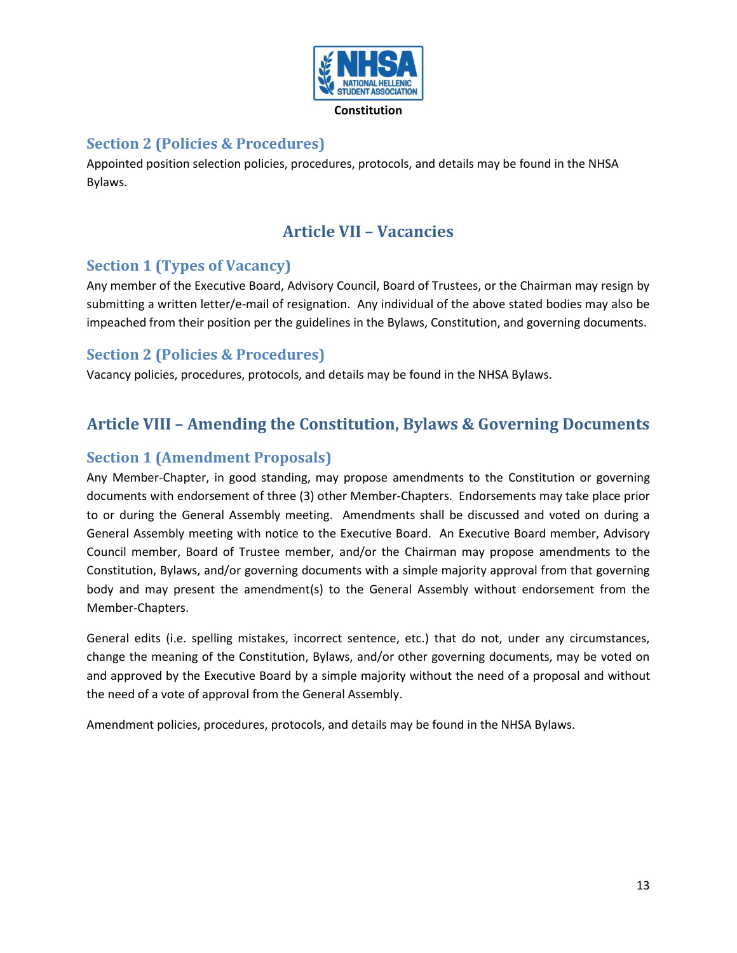

## <span id="page-12-0"></span>**Section 2 (Policies & Procedures)**

<span id="page-12-1"></span>Appointed position selection policies, procedures, protocols, and details may be found in the NHSA Bylaws.

# **Article VII – Vacancies**

## <span id="page-12-2"></span>**Section 1 (Types of Vacancy)**

Any member of the Executive Board, Advisory Council, Board of Trustees, or the Chairman may resign by submitting a written letter/e-mail of resignation. Any individual of the above stated bodies may also be impeached from their position per the guidelines in the Bylaws, Constitution, and governing documents.

### <span id="page-12-3"></span>**Section 2 (Policies & Procedures)**

Vacancy policies, procedures, protocols, and details may be found in the NHSA Bylaws.

## <span id="page-12-4"></span>**Article VIII – Amending the Constitution, Bylaws & Governing Documents**

### <span id="page-12-5"></span>**Section 1 (Amendment Proposals)**

Any Member-Chapter, in good standing, may propose amendments to the Constitution or governing documents with endorsement of three (3) other Member-Chapters. Endorsements may take place prior to or during the General Assembly meeting. Amendments shall be discussed and voted on during a General Assembly meeting with notice to the Executive Board. An Executive Board member, Advisory Council member, Board of Trustee member, and/or the Chairman may propose amendments to the Constitution, Bylaws, and/or governing documents with a simple majority approval from that governing body and may present the amendment(s) to the General Assembly without endorsement from the Member-Chapters.

General edits (i.e. spelling mistakes, incorrect sentence, etc.) that do not, under any circumstances, change the meaning of the Constitution, Bylaws, and/or other governing documents, may be voted on and approved by the Executive Board by a simple majority without the need of a proposal and without the need of a vote of approval from the General Assembly.

Amendment policies, procedures, protocols, and details may be found in the NHSA Bylaws.